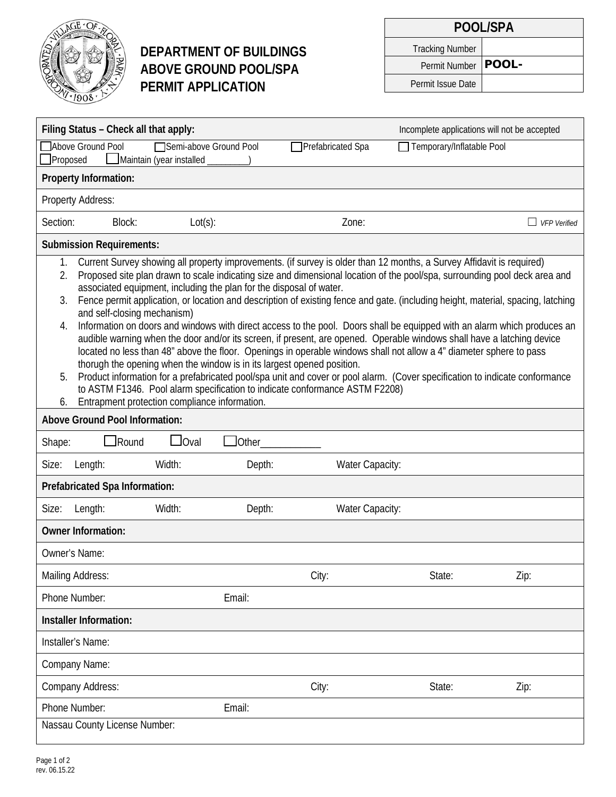

# **DEPARTMENT OF BUILDINGS ABOVE GROUND POOL/SPA PERMIT APPLICATION**

| POOL/SPA               |  |  |  |  |
|------------------------|--|--|--|--|
| <b>Tracking Number</b> |  |  |  |  |
| Permit Number   POOL-  |  |  |  |  |
| Permit Issue Date      |  |  |  |  |

|                                                                                                                                                                                                                                                                                                                                                                                                                                                                                                                                                                                                                                                                                                                                                                                                                                                                                                                                                                                                                                                                                                                                                                                                                                                         | Filing Status - Check all that apply: |                                                    |                |                   | Incomplete applications will not be accepted |                     |
|---------------------------------------------------------------------------------------------------------------------------------------------------------------------------------------------------------------------------------------------------------------------------------------------------------------------------------------------------------------------------------------------------------------------------------------------------------------------------------------------------------------------------------------------------------------------------------------------------------------------------------------------------------------------------------------------------------------------------------------------------------------------------------------------------------------------------------------------------------------------------------------------------------------------------------------------------------------------------------------------------------------------------------------------------------------------------------------------------------------------------------------------------------------------------------------------------------------------------------------------------------|---------------------------------------|----------------------------------------------------|----------------|-------------------|----------------------------------------------|---------------------|
| Proposed                                                                                                                                                                                                                                                                                                                                                                                                                                                                                                                                                                                                                                                                                                                                                                                                                                                                                                                                                                                                                                                                                                                                                                                                                                                | Above Ground Pool                     | Semi-above Ground Pool<br>Maintain (year installed |                | Prefabricated Spa | Temporary/Inflatable Pool                    |                     |
|                                                                                                                                                                                                                                                                                                                                                                                                                                                                                                                                                                                                                                                                                                                                                                                                                                                                                                                                                                                                                                                                                                                                                                                                                                                         | Property Information:                 |                                                    |                |                   |                                              |                     |
|                                                                                                                                                                                                                                                                                                                                                                                                                                                                                                                                                                                                                                                                                                                                                                                                                                                                                                                                                                                                                                                                                                                                                                                                                                                         | Property Address:                     |                                                    |                |                   |                                              |                     |
| Section:                                                                                                                                                                                                                                                                                                                                                                                                                                                                                                                                                                                                                                                                                                                                                                                                                                                                                                                                                                                                                                                                                                                                                                                                                                                | Block:                                | $Lot(s)$ :                                         |                | Zone:             |                                              | <b>VFP</b> Verified |
|                                                                                                                                                                                                                                                                                                                                                                                                                                                                                                                                                                                                                                                                                                                                                                                                                                                                                                                                                                                                                                                                                                                                                                                                                                                         | <b>Submission Requirements:</b>       |                                                    |                |                   |                                              |                     |
| Current Survey showing all property improvements. (if survey is older than 12 months, a Survey Affidavit is required)<br>1.<br>Proposed site plan drawn to scale indicating size and dimensional location of the pool/spa, surrounding pool deck area and<br>2.<br>associated equipment, including the plan for the disposal of water.<br>Fence permit application, or location and description of existing fence and gate. (including height, material, spacing, latching<br>3.<br>and self-closing mechanism)<br>Information on doors and windows with direct access to the pool. Doors shall be equipped with an alarm which produces an<br>4.<br>audible warning when the door and/or its screen, if present, are opened. Operable windows shall have a latching device<br>located no less than 48" above the floor. Openings in operable windows shall not allow a 4" diameter sphere to pass<br>thorugh the opening when the window is in its largest opened position.<br>Product information for a prefabricated pool/spa unit and cover or pool alarm. (Cover specification to indicate conformance<br>5.<br>to ASTM F1346. Pool alarm specification to indicate conformance ASTM F2208)<br>Entrapment protection compliance information.<br>6. |                                       |                                                    |                |                   |                                              |                     |
|                                                                                                                                                                                                                                                                                                                                                                                                                                                                                                                                                                                                                                                                                                                                                                                                                                                                                                                                                                                                                                                                                                                                                                                                                                                         | <b>Above Ground Pool Information:</b> |                                                    |                |                   |                                              |                     |
| Shape:                                                                                                                                                                                                                                                                                                                                                                                                                                                                                                                                                                                                                                                                                                                                                                                                                                                                                                                                                                                                                                                                                                                                                                                                                                                  | Round                                 | $\Box$ Oval                                        | <b>J</b> Other |                   |                                              |                     |
| Size:                                                                                                                                                                                                                                                                                                                                                                                                                                                                                                                                                                                                                                                                                                                                                                                                                                                                                                                                                                                                                                                                                                                                                                                                                                                   | Length:                               | Width:                                             | Depth:         | Water Capacity:   |                                              |                     |
|                                                                                                                                                                                                                                                                                                                                                                                                                                                                                                                                                                                                                                                                                                                                                                                                                                                                                                                                                                                                                                                                                                                                                                                                                                                         | Prefabricated Spa Information:        |                                                    |                |                   |                                              |                     |
| Size:                                                                                                                                                                                                                                                                                                                                                                                                                                                                                                                                                                                                                                                                                                                                                                                                                                                                                                                                                                                                                                                                                                                                                                                                                                                   | Length:                               | Width:                                             | Depth:         | Water Capacity:   |                                              |                     |
|                                                                                                                                                                                                                                                                                                                                                                                                                                                                                                                                                                                                                                                                                                                                                                                                                                                                                                                                                                                                                                                                                                                                                                                                                                                         | <b>Owner Information:</b>             |                                                    |                |                   |                                              |                     |
| Owner's Name:                                                                                                                                                                                                                                                                                                                                                                                                                                                                                                                                                                                                                                                                                                                                                                                                                                                                                                                                                                                                                                                                                                                                                                                                                                           |                                       |                                                    |                |                   |                                              |                     |
|                                                                                                                                                                                                                                                                                                                                                                                                                                                                                                                                                                                                                                                                                                                                                                                                                                                                                                                                                                                                                                                                                                                                                                                                                                                         | Mailing Address:                      |                                                    |                | City:             | State:                                       | Zip:                |
|                                                                                                                                                                                                                                                                                                                                                                                                                                                                                                                                                                                                                                                                                                                                                                                                                                                                                                                                                                                                                                                                                                                                                                                                                                                         | Phone Number:                         |                                                    | Email:         |                   |                                              |                     |
|                                                                                                                                                                                                                                                                                                                                                                                                                                                                                                                                                                                                                                                                                                                                                                                                                                                                                                                                                                                                                                                                                                                                                                                                                                                         | Installer Information:                |                                                    |                |                   |                                              |                     |
|                                                                                                                                                                                                                                                                                                                                                                                                                                                                                                                                                                                                                                                                                                                                                                                                                                                                                                                                                                                                                                                                                                                                                                                                                                                         | Installer's Name:                     |                                                    |                |                   |                                              |                     |
|                                                                                                                                                                                                                                                                                                                                                                                                                                                                                                                                                                                                                                                                                                                                                                                                                                                                                                                                                                                                                                                                                                                                                                                                                                                         | Company Name:                         |                                                    |                |                   |                                              |                     |
|                                                                                                                                                                                                                                                                                                                                                                                                                                                                                                                                                                                                                                                                                                                                                                                                                                                                                                                                                                                                                                                                                                                                                                                                                                                         | <b>Company Address:</b>               |                                                    |                | City:             | State:                                       | Zip:                |
|                                                                                                                                                                                                                                                                                                                                                                                                                                                                                                                                                                                                                                                                                                                                                                                                                                                                                                                                                                                                                                                                                                                                                                                                                                                         | Phone Number:                         |                                                    | Email:         |                   |                                              |                     |
|                                                                                                                                                                                                                                                                                                                                                                                                                                                                                                                                                                                                                                                                                                                                                                                                                                                                                                                                                                                                                                                                                                                                                                                                                                                         | Nassau County License Number:         |                                                    |                |                   |                                              |                     |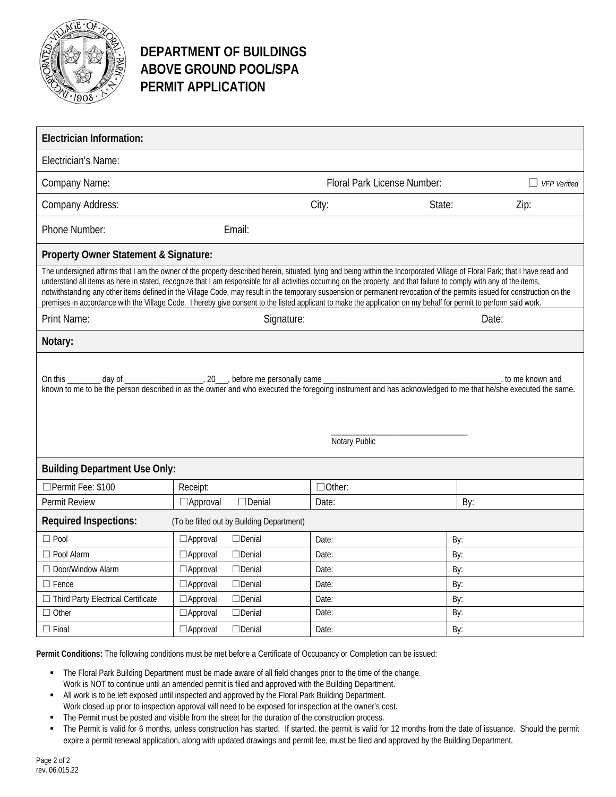

### **DEPARTMENT OF BUILDINGS ABOVE GROUND POOL/SPA PERMIT APPLICATION**

| <b>Electrician Information:</b>                                                                                                                                                                                                                                                                                                                                                                                                                                                                                                                                                                                                                                                                           |                                  |                             |        |                     |  |  |
|-----------------------------------------------------------------------------------------------------------------------------------------------------------------------------------------------------------------------------------------------------------------------------------------------------------------------------------------------------------------------------------------------------------------------------------------------------------------------------------------------------------------------------------------------------------------------------------------------------------------------------------------------------------------------------------------------------------|----------------------------------|-----------------------------|--------|---------------------|--|--|
| Electrician's Name:                                                                                                                                                                                                                                                                                                                                                                                                                                                                                                                                                                                                                                                                                       |                                  |                             |        |                     |  |  |
| Company Name:                                                                                                                                                                                                                                                                                                                                                                                                                                                                                                                                                                                                                                                                                             |                                  | Floral Park License Number: |        | $\Box$ VFP Verified |  |  |
| Company Address:                                                                                                                                                                                                                                                                                                                                                                                                                                                                                                                                                                                                                                                                                          |                                  | City:                       | State: | Zip:                |  |  |
| Phone Number:                                                                                                                                                                                                                                                                                                                                                                                                                                                                                                                                                                                                                                                                                             | Email:                           |                             |        |                     |  |  |
| Property Owner Statement & Signature:                                                                                                                                                                                                                                                                                                                                                                                                                                                                                                                                                                                                                                                                     |                                  |                             |        |                     |  |  |
| The undersigned affirms that I am the owner of the property described herein, situated, lying and being within the Incorporated Village of Floral Park; that I have read and<br>understand all items as here in stated, recognize that I am responsible for all activities occurring on the property, and that failure to comply with any of the items,<br>notwithstanding any other items defined in the Village Code, may result in the temporary suspension or permanent revocation of the permits issued for construction on the<br>premises in accordance with the Village Code. I hereby give consent to the listed applicant to make the application on my behalf for permit to perform said work. |                                  |                             |        |                     |  |  |
| Print Name:                                                                                                                                                                                                                                                                                                                                                                                                                                                                                                                                                                                                                                                                                               | Signature:                       |                             |        | Date:               |  |  |
| Notary:                                                                                                                                                                                                                                                                                                                                                                                                                                                                                                                                                                                                                                                                                                   |                                  |                             |        |                     |  |  |
| to me known and<br>known to me to be the person described in as the owner and who executed the foregoing instrument and has acknowledged to me that he/she executed the same.<br>Notary Public                                                                                                                                                                                                                                                                                                                                                                                                                                                                                                            |                                  |                             |        |                     |  |  |
| <b>Building Department Use Only:</b>                                                                                                                                                                                                                                                                                                                                                                                                                                                                                                                                                                                                                                                                      |                                  |                             |        |                     |  |  |
| □Permit Fee: \$100                                                                                                                                                                                                                                                                                                                                                                                                                                                                                                                                                                                                                                                                                        | Receipt:                         | $\Box$ Other:               |        |                     |  |  |
| Permit Review                                                                                                                                                                                                                                                                                                                                                                                                                                                                                                                                                                                                                                                                                             | $\Box$ Denial<br>$\Box$ Approval | Date:                       |        | By:                 |  |  |
| <b>Required Inspections:</b><br>(To be filled out by Building Department)                                                                                                                                                                                                                                                                                                                                                                                                                                                                                                                                                                                                                                 |                                  |                             |        |                     |  |  |
| $\Box$ Pool                                                                                                                                                                                                                                                                                                                                                                                                                                                                                                                                                                                                                                                                                               | $\Box$ Approval<br>$\Box$ Denial | Date:                       |        | By:                 |  |  |
| $\Box$ Pool Alarm                                                                                                                                                                                                                                                                                                                                                                                                                                                                                                                                                                                                                                                                                         | $\Box$ Denial<br>$\Box$ Approval | Date:                       |        | By:                 |  |  |
| $\Box$ Door/Window Alarm                                                                                                                                                                                                                                                                                                                                                                                                                                                                                                                                                                                                                                                                                  | $\Box$ Denial<br>$\Box$ Approval | Date:                       |        | By:                 |  |  |
| $\Box$ Fence                                                                                                                                                                                                                                                                                                                                                                                                                                                                                                                                                                                                                                                                                              | $\Box$ Denial<br>$\Box$ Approval | Date:                       |        | By:                 |  |  |
| □ Third Party Electrical Certificate                                                                                                                                                                                                                                                                                                                                                                                                                                                                                                                                                                                                                                                                      | $\Box$ Denial<br>$\Box$ Approval | Date:                       |        | By:                 |  |  |
| $\Box$ Other                                                                                                                                                                                                                                                                                                                                                                                                                                                                                                                                                                                                                                                                                              | $\Box$ Denial<br>$\Box$ Approval | Date:                       |        | By:                 |  |  |
| $\Box$ Final                                                                                                                                                                                                                                                                                                                                                                                                                                                                                                                                                                                                                                                                                              | $\Box$ Approval<br>$\Box$ Denial | Date:                       |        | By:                 |  |  |

**Permit Conditions:** The following conditions must be met before a Certificate of Occupancy or Completion can be issued:

- The Floral Park Building Department must be made aware of all field changes prior to the time of the change. Work is NOT to continue until an amended permit is filed and approved with the Building Department.
- All work is to be left exposed until inspected and approved by the Floral Park Building Department.
- Work closed up prior to inspection approval will need to be exposed for inspection at the owner's cost.
- The Permit must be posted and visible from the street for the duration of the construction process.
- The Permit is valid for 6 months, unless construction has started. If started, the permit is valid for 12 months from the date of issuance. Should the permit expire a permit renewal application, along with updated drawings and permit fee, must be filed and approved by the Building Department.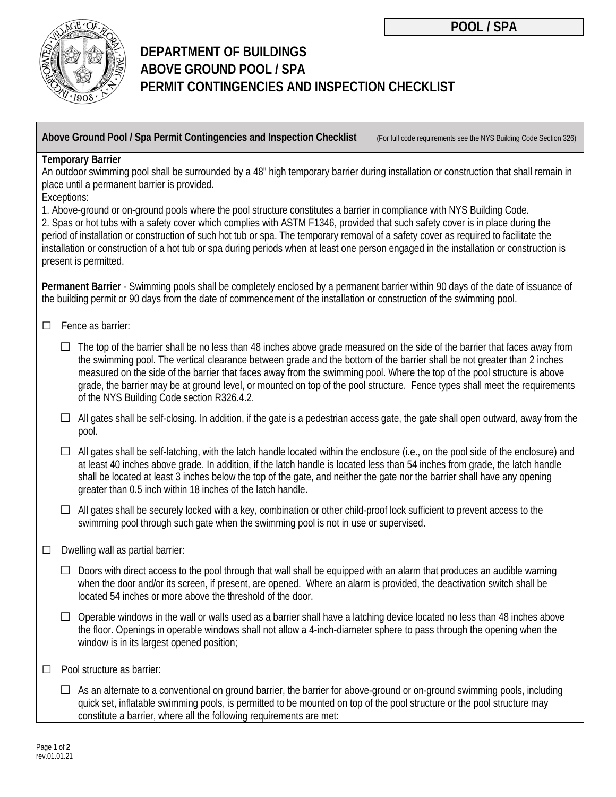

# **DEPARTMENT OF BUILDINGS ABOVE GROUND POOL / SPA PERMIT CONTINGENCIES AND INSPECTION CHECKLIST**

**Above Ground Pool / Spa Permit Contingencies and Inspection Checklist** (For full code requirements see the NYS Building Code Section 326)

#### **Temporary Barrier**

An outdoor swimming pool shall be surrounded by a 48" high temporary barrier during installation or construction that shall remain in place until a permanent barrier is provided.

Exceptions:

1. Above-ground or on-ground pools where the pool structure constitutes a barrier in compliance with NYS Building Code. 2. Spas or hot tubs with a safety cover which complies with ASTM F1346, provided that such safety cover is in place during the period of installation or construction of such hot tub or spa. The temporary removal of a safety cover as required to facilitate the installation or construction of a hot tub or spa during periods when at least one person engaged in the installation or construction is present is permitted.

**Permanent Barrier** - Swimming pools shall be completely enclosed by a permanent barrier within 90 days of the date of issuance of the building permit or 90 days from the date of commencement of the installation or construction of the swimming pool.

- ☐ Fence as barrier:
	- $\Box$  The top of the barrier shall be no less than 48 inches above grade measured on the side of the barrier that faces away from the swimming pool. The vertical clearance between grade and the bottom of the barrier shall be not greater than 2 inches measured on the side of the barrier that faces away from the swimming pool. Where the top of the pool structure is above grade, the barrier may be at ground level, or mounted on top of the pool structure. Fence types shall meet the requirements of the NYS Building Code section R326.4.2.
	- $\Box$  All gates shall be self-closing. In addition, if the gate is a pedestrian access gate, the gate shall open outward, away from the pool.
	- $\Box$  All gates shall be self-latching, with the latch handle located within the enclosure (i.e., on the pool side of the enclosure) and at least 40 inches above grade. In addition, if the latch handle is located less than 54 inches from grade, the latch handle shall be located at least 3 inches below the top of the gate, and neither the gate nor the barrier shall have any opening greater than 0.5 inch within 18 inches of the latch handle.
	- $\Box$  All gates shall be securely locked with a key, combination or other child-proof lock sufficient to prevent access to the swimming pool through such gate when the swimming pool is not in use or supervised.
- $\Box$  Dwelling wall as partial barrier:
	- $\Box$  Doors with direct access to the pool through that wall shall be equipped with an alarm that produces an audible warning when the door and/or its screen, if present, are opened. Where an alarm is provided, the deactivation switch shall be located 54 inches or more above the threshold of the door.
	- $\Box$  Operable windows in the wall or walls used as a barrier shall have a latching device located no less than 48 inches above the floor. Openings in operable windows shall not allow a 4-inch-diameter sphere to pass through the opening when the window is in its largest opened position;
- ☐ Pool structure as barrier:
	- $\Box$  As an alternate to a conventional on ground barrier, the barrier for above-ground or on-ground swimming pools, including quick set, inflatable swimming pools, is permitted to be mounted on top of the pool structure or the pool structure may constitute a barrier, where all the following requirements are met: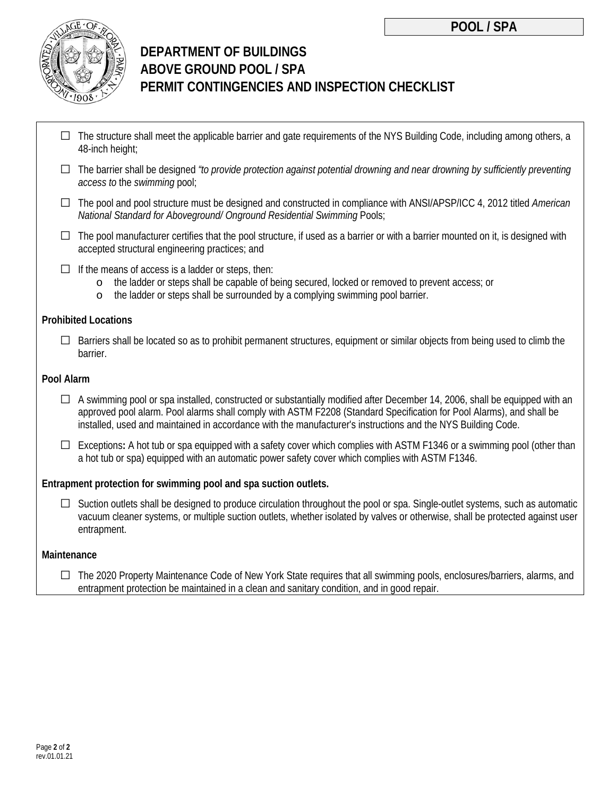

# **DEPARTMENT OF BUILDINGS ABOVE GROUND POOL / SPA PERMIT CONTINGENCIES AND INSPECTION CHECKLIST**

- $\Box$  The structure shall meet the applicable barrier and gate requirements of the NYS Building Code, including among others, a 48-inch height;
- □ The barrier shall be designed *"to provide protection against potential drowning and near drowning by sufficiently preventing access to* the *swimming* pool;
- □ The pool and pool structure must be designed and constructed in compliance with ANSI/APSP/ICC 4, 2012 titled *American National Standard for Aboveground/ Onground Residential Swimming Pools;*
- $\Box$  The pool manufacturer certifies that the pool structure, if used as a barrier or with a barrier mounted on it, is designed with accepted structural engineering practices; and
- $\Box$  If the means of access is a ladder or steps, then:<br>  $\circ$  the ladder or steps shall be capable of b
	- the ladder or steps shall be capable of being secured, locked or removed to prevent access; or
	- o the ladder or steps shall be surrounded by a complying swimming pool barrier.

#### **Prohibited Locations**

 $\Box$  Barriers shall be located so as to prohibit permanent structures, equipment or similar objects from being used to climb the barrier.

#### **Pool Alarm**

- $\Box$  A swimming pool or spa installed, constructed or substantially modified after December 14, 2006, shall be equipped with an approved pool alarm. Pool alarms shall comply with ASTM F2208 (Standard Specification for Pool Alarms), and shall be installed, used and maintained in accordance with the manufacturer's instructions and the NYS Building Code.
- □ Exceptions**:** A hot tub or spa equipped with a safety cover which complies with ASTM F1346 or a swimming pool (other than a hot tub or spa) equipped with an automatic power safety cover which complies with ASTM F1346.

### **Entrapment protection for swimming pool and spa suction outlets.**

 $\Box$  Suction outlets shall be designed to produce circulation throughout the pool or spa. Single-outlet systems, such as automatic vacuum cleaner systems, or multiple suction outlets, whether isolated by valves or otherwise, shall be protected against user entrapment.

### **Maintenance**

 $\Box$  The 2020 Property Maintenance Code of New York State requires that all swimming pools, enclosures/barriers, alarms, and entrapment protection be maintained in a clean and sanitary condition, and in good repair.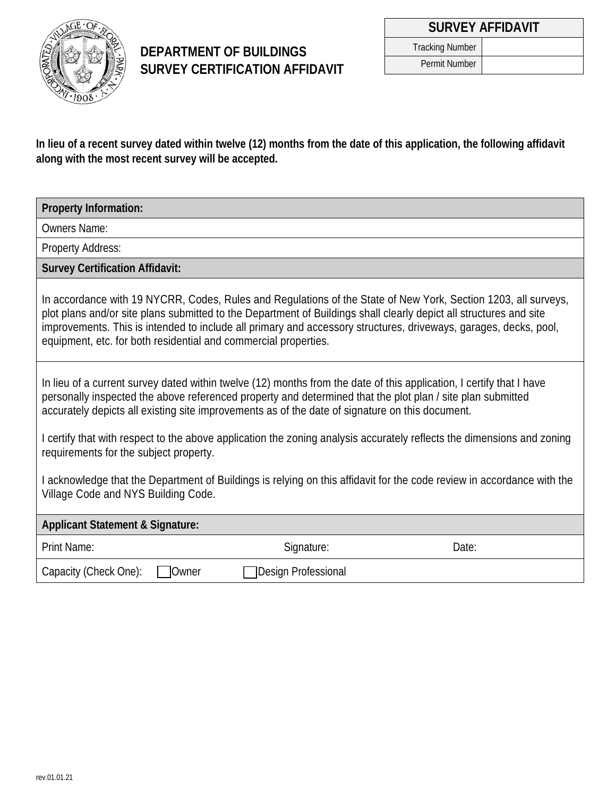

### **DEPARTMENT OF BUILDINGS SURVEY CERTIFICATION AFFIDAVIT**

Tracking Number Permit Number

**In lieu of a recent survey dated within twelve (12) months from the date of this application, the following affidavit along with the most recent survey will be accepted.**

**Property Information:**

Owners Name:

Property Address:

**Survey Certification Affidavit:**

In accordance with 19 NYCRR, Codes, Rules and Regulations of the State of New York, Section 1203, all surveys, plot plans and/or site plans submitted to the Department of Buildings shall clearly depict all structures and site improvements. This is intended to include all primary and accessory structures, driveways, garages, decks, pool, equipment, etc. for both residential and commercial properties.

In lieu of a current survey dated within twelve (12) months from the date of this application, I certify that I have personally inspected the above referenced property and determined that the plot plan / site plan submitted accurately depicts all existing site improvements as of the date of signature on this document.

I certify that with respect to the above application the zoning analysis accurately reflects the dimensions and zoning requirements for the subject property.

I acknowledge that the Department of Buildings is relying on this affidavit for the code review in accordance with the Village Code and NYS Building Code.

### **Applicant Statement & Signature:**

| Print Name:                           | Signature:                 | Date: |
|---------------------------------------|----------------------------|-------|
| Capacity (Check One):<br><b>Owner</b> | <b>Design Professional</b> |       |